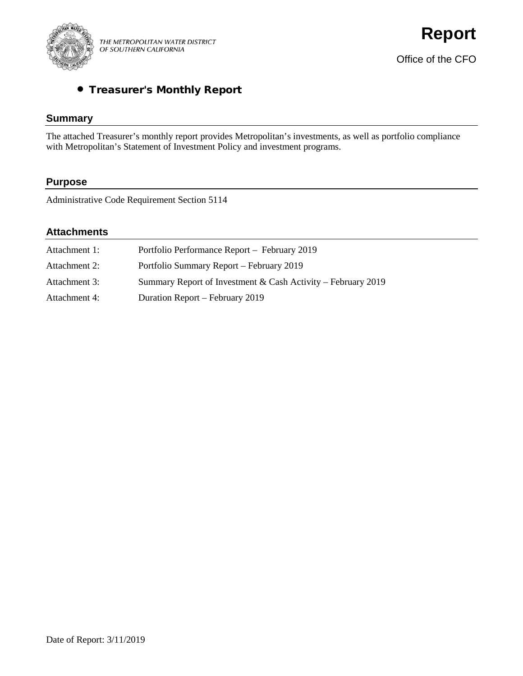

# • Treasurer's Monthly Report

# **Summary**

The attached Treasurer's monthly report provides Metropolitan's investments, as well as portfolio compliance with Metropolitan's Statement of Investment Policy and investment programs.

# **Purpose**

Administrative Code Requirement Section 5114

# **Attachments**

| Attachment 1: | Portfolio Performance Report - February 2019                 |
|---------------|--------------------------------------------------------------|
| Attachment 2: | Portfolio Summary Report – February 2019                     |
| Attachment 3: | Summary Report of Investment & Cash Activity – February 2019 |
| Attachment 4: | Duration Report – February 2019                              |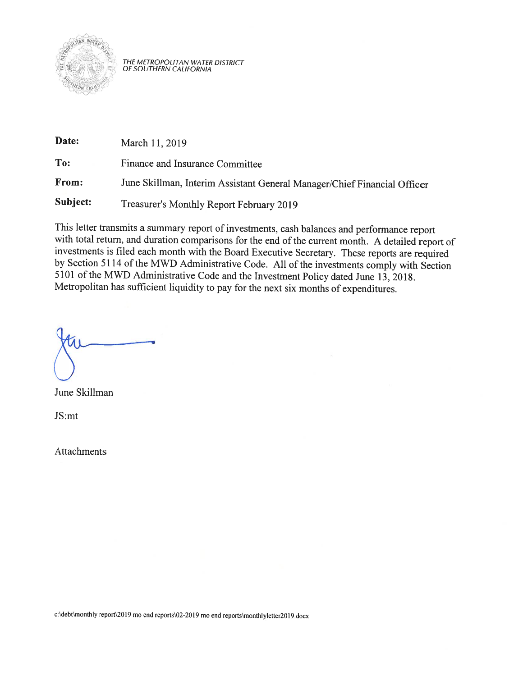

THE METROPOLITAN WATER DISTRICT<br>OF SOUTHERN CALIFORNIA

| Date:    | March 11, 2019                                                           |
|----------|--------------------------------------------------------------------------|
| To:      | Finance and Insurance Committee                                          |
| From:    | June Skillman, Interim Assistant General Manager/Chief Financial Officer |
| Subject: | Treasurer's Monthly Report February 2019                                 |

This letter transmits a summary report of investments, cash balances and performance report with total return, and duration comparisons for the end of the current month. A detailed report of investments is filed each month with the Board Executive Secretary. These reports are required by Section 5114 of the MWD Administrative Code. All of the investments comply with Section 5101 of the MWD Administrative Code and the Investment Policy dated June 13, 2018. Metropolitan has sufficient liquidity to pay for the next six months of expenditures.

June Skillman

JS:mt

**Attachments** 

c:\debt\monthly report\2019 mo end reports\02-2019 mo end reports\monthlyletter2019.docx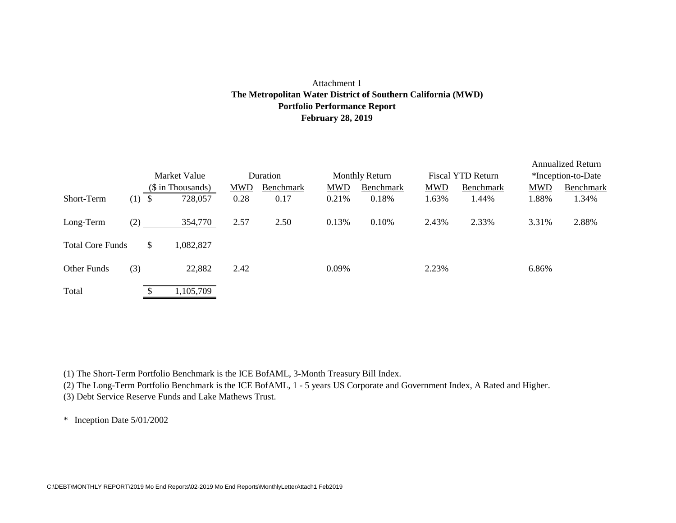## Attachment 1 **Portfolio Performance Report February 28, 2019 The Metropolitan Water District of Southern California (MWD)**

|                         |     | Market Value      |           |            | Duration  |            | <b>Monthly Return</b> |            | Fiscal YTD Return |            | <b>Annualized Return</b><br>*Inception-to-Date |
|-------------------------|-----|-------------------|-----------|------------|-----------|------------|-----------------------|------------|-------------------|------------|------------------------------------------------|
|                         |     | (\$ in Thousands) |           | <b>MWD</b> | Benchmark | <b>MWD</b> | Benchmark             | <b>MWD</b> | Benchmark         | <b>MWD</b> | Benchmark                                      |
| Short-Term              | (1) | -S                | 728,057   | 0.28       | 0.17      | 0.21%      | 0.18%                 | 1.63%      | 1.44%             | 1.88%      | 1.34%                                          |
| Long-Term               | (2) |                   | 354,770   | 2.57       | 2.50      | 0.13%      | 0.10%                 | 2.43%      | 2.33%             | 3.31%      | 2.88%                                          |
| <b>Total Core Funds</b> |     | \$                | 1,082,827 |            |           |            |                       |            |                   |            |                                                |
| Other Funds             | (3) |                   | 22,882    | 2.42       |           | 0.09%      |                       | 2.23%      |                   | 6.86%      |                                                |
| Total                   |     |                   | 1,105,709 |            |           |            |                       |            |                   |            |                                                |

(1) The Short-Term Portfolio Benchmark is the ICE BofAML, 3-Month Treasury Bill Index.

(2) The Long-Term Portfolio Benchmark is the ICE BofAML, 1 - 5 years US Corporate and Government Index, A Rated and Higher.

(3) Debt Service Reserve Funds and Lake Mathews Trust.

\* Inception Date 5/01/2002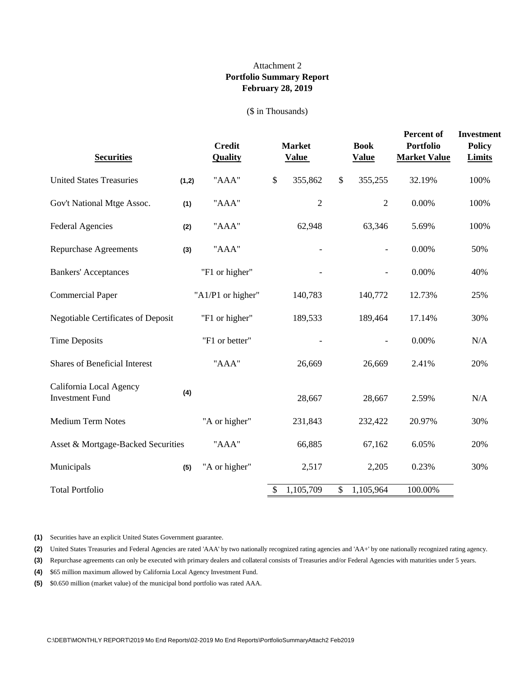## **Portfolio Summary Report February 28, 2019** Attachment 2

#### (\$ in Thousands)

| <b>Securities</b>                                 |       | <b>Credit</b><br><b>Quality</b> |      | <b>Market</b><br><b>Value</b> |                           | <b>Book</b><br><b>Value</b> | Percent of<br><b>Portfolio</b><br><b>Market Value</b> | <b>Investment</b><br><b>Policy</b><br><b>Limits</b> |
|---------------------------------------------------|-------|---------------------------------|------|-------------------------------|---------------------------|-----------------------------|-------------------------------------------------------|-----------------------------------------------------|
| <b>United States Treasuries</b>                   | (1,2) | "AAA"                           | $\$$ | 355,862                       | $\boldsymbol{\mathsf{S}}$ | 355,255                     | 32.19%                                                | 100%                                                |
| Gov't National Mtge Assoc.                        | (1)   | "AAA"                           |      | $\overline{2}$                |                           | $\overline{2}$              | $0.00\%$                                              | 100%                                                |
| <b>Federal Agencies</b>                           | (2)   | "AAA"                           |      | 62,948                        |                           | 63,346                      | 5.69%                                                 | 100%                                                |
| <b>Repurchase Agreements</b>                      | (3)   | "AAA"                           |      |                               |                           |                             | 0.00%                                                 | 50%                                                 |
| <b>Bankers' Acceptances</b>                       |       | "F1 or higher"                  |      |                               |                           |                             | 0.00%                                                 | 40%                                                 |
| <b>Commercial Paper</b>                           |       | "A1/P1 or higher"               |      | 140,783                       |                           | 140,772                     | 12.73%                                                | 25%                                                 |
| <b>Negotiable Certificates of Deposit</b>         |       | "F1 or higher"                  |      | 189,533                       |                           | 189,464                     | 17.14%                                                | 30%                                                 |
| <b>Time Deposits</b>                              |       | "F1 or better"                  |      |                               |                           |                             | 0.00%                                                 | N/A                                                 |
| <b>Shares of Beneficial Interest</b>              |       | "AAA"                           |      | 26,669                        |                           | 26,669                      | 2.41%                                                 | 20%                                                 |
| California Local Agency<br><b>Investment Fund</b> | (4)   |                                 |      | 28,667                        |                           | 28,667                      | 2.59%                                                 | N/A                                                 |
| <b>Medium Term Notes</b>                          |       | "A or higher"                   |      | 231,843                       |                           | 232,422                     | 20.97%                                                | 30%                                                 |
| Asset & Mortgage-Backed Securities                |       | "AAA"                           |      | 66,885                        |                           | 67,162                      | 6.05%                                                 | 20%                                                 |
| Municipals                                        | (5)   | "A or higher"                   |      | 2,517                         |                           | 2,205                       | 0.23%                                                 | 30%                                                 |
| <b>Total Portfolio</b>                            |       |                                 | \$   | 1,105,709                     | \$                        | 1,105,964                   | 100.00%                                               |                                                     |

**(1)** Securities have an explicit United States Government guarantee.

**(2)** United States Treasuries and Federal Agencies are rated 'AAA' by two nationally recognized rating agencies and 'AA+' by one nationally recognized rating agency.

**(3)** Repurchase agreements can only be executed with primary dealers and collateral consists of Treasuries and/or Federal Agencies with maturities under 5 years.

**(4)** \$65 million maximum allowed by California Local Agency Investment Fund.

**(5)** \$0.650 million (market value) of the municipal bond portfolio was rated AAA.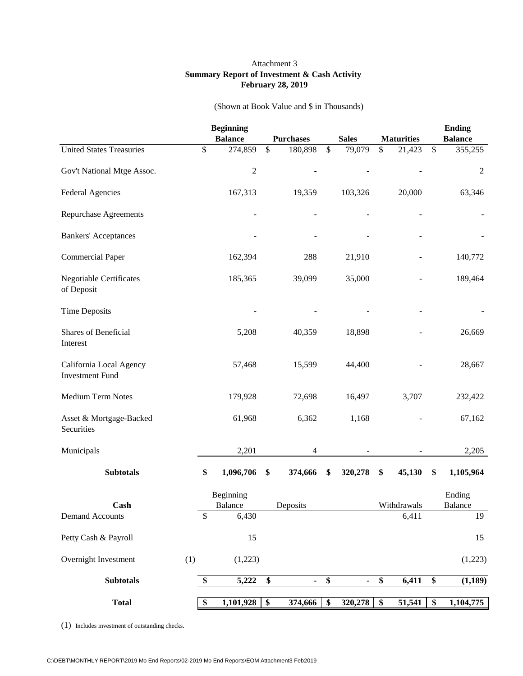#### Attachment 3 **Summary Report of Investment & Cash Activity February 28, 2019**

|                                                   |     | <b>Beginning</b> |                                  |                  |                      |                                  |                   | <b>Ending</b>   |
|---------------------------------------------------|-----|------------------|----------------------------------|------------------|----------------------|----------------------------------|-------------------|-----------------|
|                                                   |     | <b>Balance</b>   |                                  | <b>Purchases</b> | <b>Sales</b>         |                                  | <b>Maturities</b> | <b>Balance</b>  |
| <b>United States Treasuries</b>                   |     | \$<br>274,859    | \$                               | 180,898          | \$<br>79,079         | \$                               | 21,423            | \$<br>355,255   |
| Gov't National Mtge Assoc.                        |     | $\overline{c}$   |                                  |                  |                      |                                  |                   | 2               |
| <b>Federal Agencies</b>                           |     | 167,313          |                                  | 19,359           | 103,326              |                                  | 20,000            | 63,346          |
| <b>Repurchase Agreements</b>                      |     |                  |                                  |                  |                      |                                  |                   |                 |
| <b>Bankers' Acceptances</b>                       |     |                  |                                  |                  |                      |                                  |                   |                 |
| <b>Commercial Paper</b>                           |     | 162,394          |                                  | 288              | 21,910               |                                  |                   | 140,772         |
| <b>Negotiable Certificates</b><br>of Deposit      |     | 185,365          |                                  | 39,099           | 35,000               |                                  |                   | 189,464         |
| <b>Time Deposits</b>                              |     |                  |                                  |                  |                      |                                  |                   |                 |
| Shares of Beneficial<br>Interest                  |     | 5,208            |                                  | 40,359           | 18,898               |                                  |                   | 26,669          |
| California Local Agency<br><b>Investment Fund</b> |     | 57,468           |                                  | 15,599           | 44,400               |                                  |                   | 28,667          |
| Medium Term Notes                                 |     | 179,928          |                                  | 72,698           | 16,497               |                                  | 3,707             | 232,422         |
| Asset & Mortgage-Backed<br>Securities             |     | 61,968           |                                  | 6,362            | 1,168                |                                  |                   | 67,162          |
| Municipals                                        |     | 2,201            |                                  | 4                |                      |                                  |                   | 2,205           |
| <b>Subtotals</b>                                  |     | \$<br>1,096,706  | \$                               | 374,666          | \$<br>320,278        | \$                               | 45,130            | \$<br>1,105,964 |
|                                                   |     | Beginning        |                                  |                  |                      |                                  |                   | Ending          |
| Cash                                              |     | Balance          |                                  | Deposits         |                      |                                  | Withdrawals       | Balance         |
| <b>Demand Accounts</b>                            |     | \$<br>6,430      |                                  |                  |                      |                                  | 6,411             | 19              |
| Petty Cash & Payroll                              |     | 15               |                                  |                  |                      |                                  |                   | 15              |
| Overnight Investment                              | (1) | (1,223)          |                                  |                  |                      |                                  |                   | (1,223)         |
| <b>Subtotals</b>                                  |     | \$<br>5,222      | \$                               | $\sim$           | \$<br>$\blacksquare$ | \$                               | 6,411             | \$<br>(1, 189)  |
| <b>Total</b>                                      |     | \$<br>1,101,928  | $\overline{\boldsymbol{\theta}}$ | 374,666          | \$<br>320,278        | $\overline{\boldsymbol{\theta}}$ | 51,541            | \$<br>1,104,775 |

(Shown at Book Value and \$ in Thousands)

(1) Includes investment of outstanding checks.